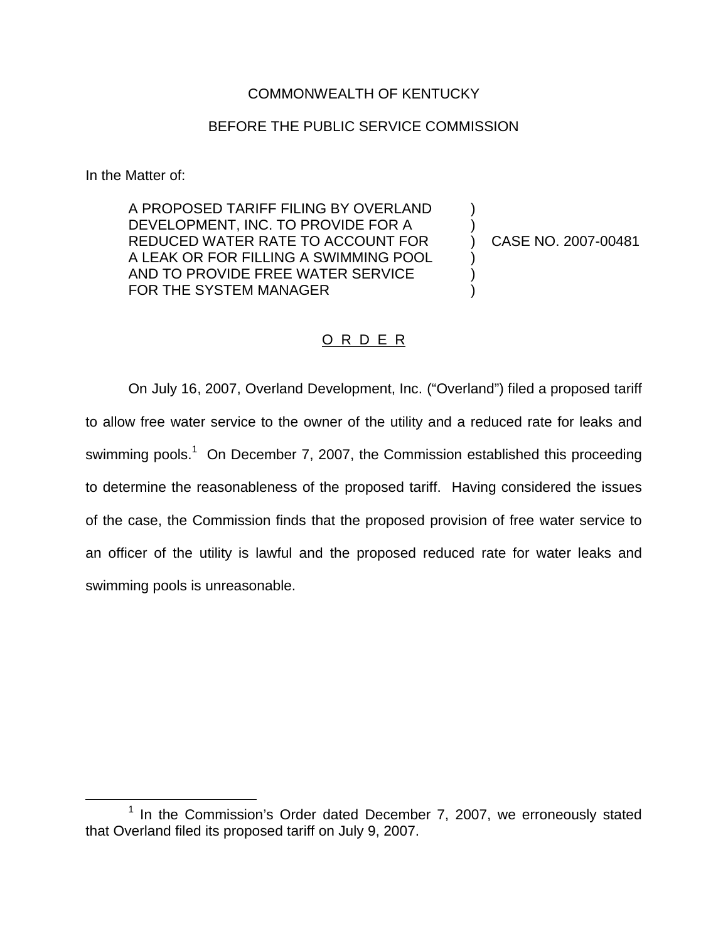## COMMONWEALTH OF KENTUCKY

## BEFORE THE PUBLIC SERVICE COMMISSION

In the Matter of:

A PROPOSED TARIFF FILING BY OVERLAND ) DEVELOPMENT, INC. TO PROVIDE FOR A REDUCED WATER RATE TO ACCOUNT FOR (2007-00481) A LEAK OR FOR FILLING A SWIMMING POOL ) AND TO PROVIDE FREE WATER SERVICE FOR THE SYSTEM MANAGER

## O R D E R

On July 16, 2007, Overland Development, Inc. ("Overland") filed a proposed tariff to allow free water service to the owner of the utility and a reduced rate for leaks and swimming pools.<sup>1</sup> On December 7, 2007, the Commission established this proceeding to determine the reasonableness of the proposed tariff. Having considered the issues of the case, the Commission finds that the proposed provision of free water service to an officer of the utility is lawful and the proposed reduced rate for water leaks and swimming pools is unreasonable.

 $1$  In the Commission's Order dated December 7, 2007, we erroneously stated that Overland filed its proposed tariff on July 9, 2007.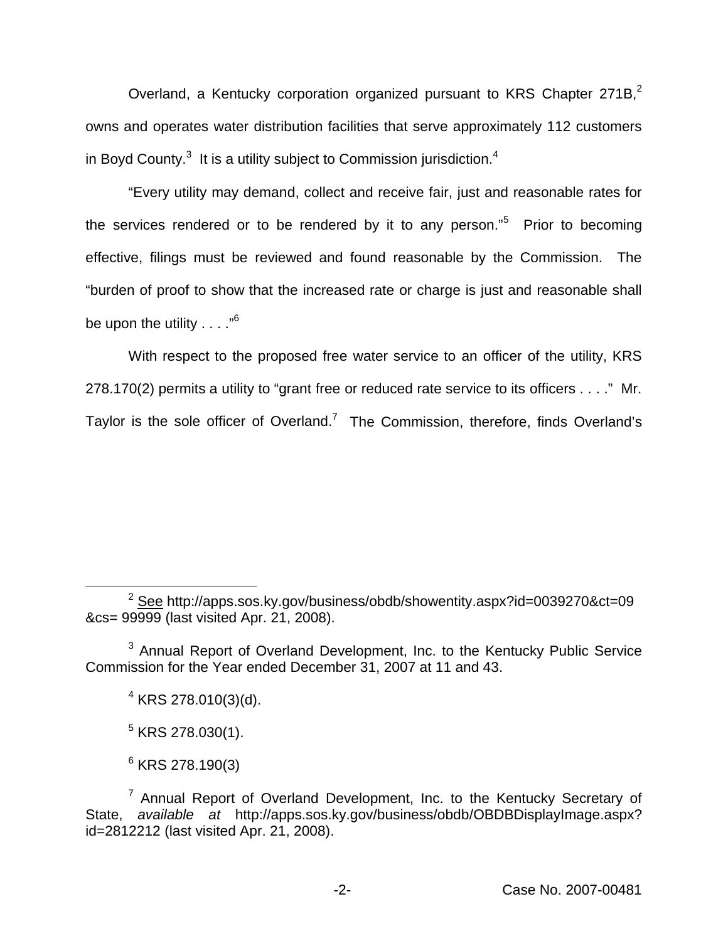Overland, a Kentucky corporation organized pursuant to KRS Chapter 271B,<sup>2</sup> owns and operates water distribution facilities that serve approximately 112 customers in Boyd County. $3$  It is a utility subject to Commission jurisdiction.<sup>4</sup>

"Every utility may demand, collect and receive fair, just and reasonable rates for the services rendered or to be rendered by it to any person."<sup>5</sup> Prior to becoming effective, filings must be reviewed and found reasonable by the Commission. The "burden of proof to show that the increased rate or charge is just and reasonable shall be upon the utility  $\ldots$ ."<sup>6</sup>

With respect to the proposed free water service to an officer of the utility, KRS 278.170(2) permits a utility to "grant free or reduced rate service to its officers . . . ." Mr. Taylor is the sole officer of Overland.<sup>7</sup> The Commission, therefore, finds Overland's

 $2^2$  See http://apps.sos.ky.gov/business/obdb/showentity.aspx?id=0039270&ct=09 &cs= 99999 (last visited Apr. 21, 2008).

<sup>&</sup>lt;sup>3</sup> Annual Report of Overland Development, Inc. to the Kentucky Public Service Commission for the Year ended December 31, 2007 at 11 and 43.

 $4$  KRS 278.010(3)(d).

 $5$  KRS 278.030(1).

 $6$  KRS 278.190(3)

 $7$  Annual Report of Overland Development, Inc. to the Kentucky Secretary of State, *available at* http://apps.sos.ky.gov/business/obdb/OBDBDisplayImage.aspx? id=2812212 (last visited Apr. 21, 2008).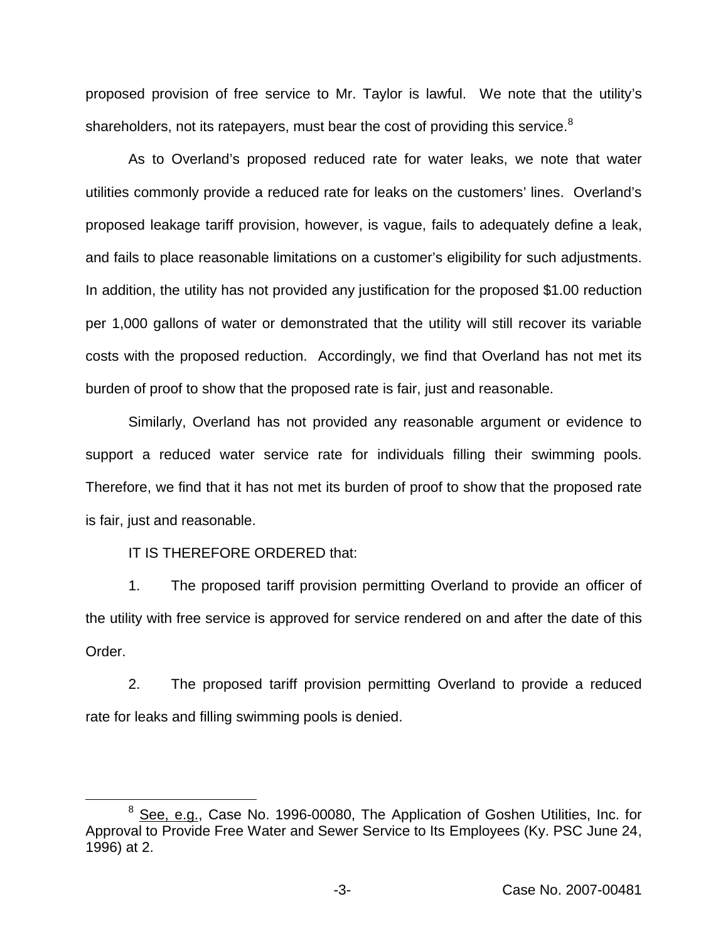proposed provision of free service to Mr. Taylor is lawful. We note that the utility's shareholders, not its ratepayers, must bear the cost of providing this service. $8$ 

As to Overland's proposed reduced rate for water leaks, we note that water utilities commonly provide a reduced rate for leaks on the customers' lines. Overland's proposed leakage tariff provision, however, is vague, fails to adequately define a leak, and fails to place reasonable limitations on a customer's eligibility for such adjustments. In addition, the utility has not provided any justification for the proposed \$1.00 reduction per 1,000 gallons of water or demonstrated that the utility will still recover its variable costs with the proposed reduction. Accordingly, we find that Overland has not met its burden of proof to show that the proposed rate is fair, just and reasonable.

Similarly, Overland has not provided any reasonable argument or evidence to support a reduced water service rate for individuals filling their swimming pools. Therefore, we find that it has not met its burden of proof to show that the proposed rate is fair, just and reasonable.

IT IS THEREFORE ORDERED that:

1. The proposed tariff provision permitting Overland to provide an officer of the utility with free service is approved for service rendered on and after the date of this Order.

2. The proposed tariff provision permitting Overland to provide a reduced rate for leaks and filling swimming pools is denied.

<sup>&</sup>lt;sup>8</sup> See, e.g., Case No. 1996-00080, The Application of Goshen Utilities, Inc. for Approval to Provide Free Water and Sewer Service to Its Employees (Ky. PSC June 24, 1996) at 2.